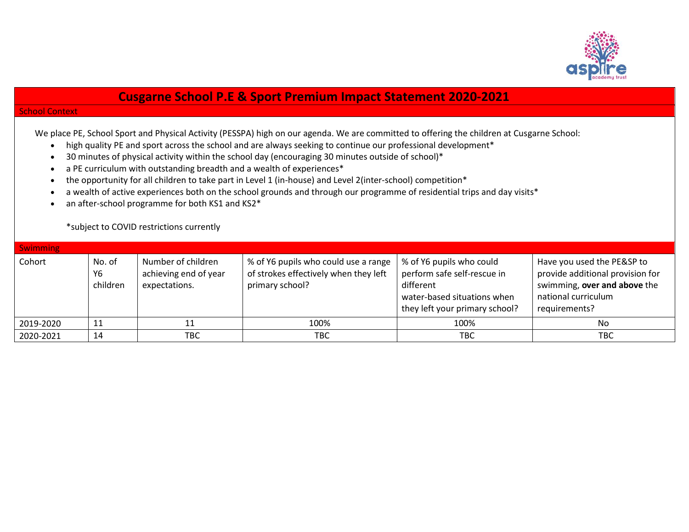

## **Cusgarne School P.E & Sport Premium Impact Statement 2020-2021**

## School Context

We place PE, School Sport and Physical Activity (PESSPA) high on our agenda. We are committed to offering the children at Cusgarne School:

- high quality PE and sport across the school and are always seeking to continue our professional development\*
- 30 minutes of physical activity within the school day (encouraging 30 minutes outside of school)\*
- a PE curriculum with outstanding breadth and a wealth of experiences\*
- the opportunity for all children to take part in Level 1 (in-house) and Level 2 (inter-school) competition\*
- a wealth of active experiences both on the school grounds and through our programme of residential trips and day visits\*
- an after-school programme for both KS1 and KS2<sup>\*</sup>

\*subject to COVID restrictions currently

| <b>Swimming</b> |                          |                                                              |                                                                                                  |                                                                                                                                       |                                                                                                                                        |
|-----------------|--------------------------|--------------------------------------------------------------|--------------------------------------------------------------------------------------------------|---------------------------------------------------------------------------------------------------------------------------------------|----------------------------------------------------------------------------------------------------------------------------------------|
| Cohort          | No. of<br>Υ6<br>children | Number of children<br>achieving end of year<br>expectations. | % of Y6 pupils who could use a range<br>of strokes effectively when they left<br>primary school? | % of Y6 pupils who could<br>perform safe self-rescue in<br>different<br>water-based situations when<br>they left your primary school? | Have you used the PE&SP to<br>provide additional provision for<br>swimming, over and above the<br>national curriculum<br>requirements? |
| 2019-2020       | 11                       |                                                              | 100%                                                                                             | 100%                                                                                                                                  | No                                                                                                                                     |
| 2020-2021       | 14                       | твс                                                          | TBC                                                                                              | TBC                                                                                                                                   | TBC                                                                                                                                    |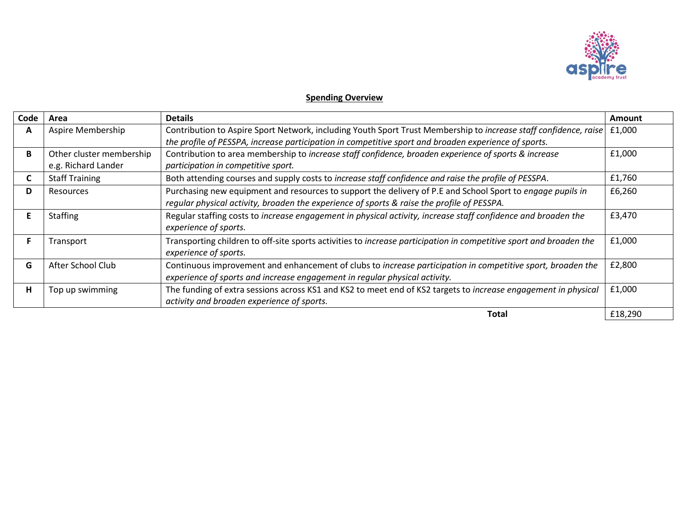

## **Spending Overview**

| Code | Area                                            | <b>Details</b>                                                                                                                                                                                                           | Amount  |
|------|-------------------------------------------------|--------------------------------------------------------------------------------------------------------------------------------------------------------------------------------------------------------------------------|---------|
| A    | Aspire Membership                               | Contribution to Aspire Sport Network, including Youth Sport Trust Membership to increase staff confidence, raise<br>the profile of PESSPA, increase participation in competitive sport and broaden experience of sports. | £1,000  |
| B    | Other cluster membership<br>e.g. Richard Lander | Contribution to area membership to increase staff confidence, broaden experience of sports & increase<br>participation in competitive sport.                                                                             | £1,000  |
| C    | <b>Staff Training</b>                           | Both attending courses and supply costs to increase staff confidence and raise the profile of PESSPA.                                                                                                                    | £1,760  |
| D    | Resources                                       | Purchasing new equipment and resources to support the delivery of P.E and School Sport to engage pupils in<br>regular physical activity, broaden the experience of sports & raise the profile of PESSPA.                 | £6,260  |
|      | <b>Staffing</b>                                 | Regular staffing costs to increase engagement in physical activity, increase staff confidence and broaden the<br>experience of sports.                                                                                   | £3,470  |
|      | Transport                                       | Transporting children to off-site sports activities to increase participation in competitive sport and broaden the<br>experience of sports.                                                                              | £1,000  |
| G    | After School Club                               | Continuous improvement and enhancement of clubs to increase participation in competitive sport, broaden the<br>experience of sports and increase engagement in regular physical activity.                                | £2,800  |
| н    | Top up swimming                                 | The funding of extra sessions across KS1 and KS2 to meet end of KS2 targets to increase engagement in physical<br>activity and broaden experience of sports.                                                             | £1,000  |
|      |                                                 | Total                                                                                                                                                                                                                    | £18,290 |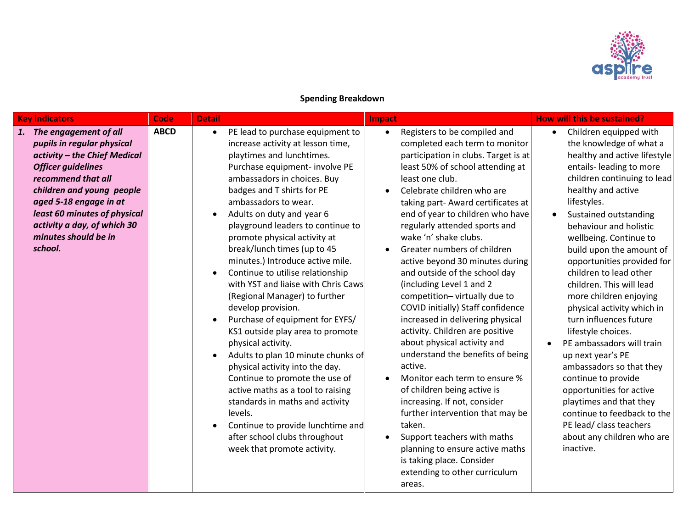

## **Spending Breakdown**

| <b>Key indicators</b>                                                                                                                                                                                                                                                                              | Code        | <b>Detail</b>                                                                                                                                                                                                                                                                                                                                                                                                                                                                                                                                                                                                                                                                                                                                                                                                                                                                                                                                                                                     | Impact                                                                                                                                                                                                                                                                                                                                                                                                                                                                                                                                                                                                                                                                                                                                                                                                                                                                                                                                                                                                     | How will this be sustained?                                                                                                                                                                                                                                                                                                                                                                                                                                                                                                                                                                                                                                                                                                                                                       |
|----------------------------------------------------------------------------------------------------------------------------------------------------------------------------------------------------------------------------------------------------------------------------------------------------|-------------|---------------------------------------------------------------------------------------------------------------------------------------------------------------------------------------------------------------------------------------------------------------------------------------------------------------------------------------------------------------------------------------------------------------------------------------------------------------------------------------------------------------------------------------------------------------------------------------------------------------------------------------------------------------------------------------------------------------------------------------------------------------------------------------------------------------------------------------------------------------------------------------------------------------------------------------------------------------------------------------------------|------------------------------------------------------------------------------------------------------------------------------------------------------------------------------------------------------------------------------------------------------------------------------------------------------------------------------------------------------------------------------------------------------------------------------------------------------------------------------------------------------------------------------------------------------------------------------------------------------------------------------------------------------------------------------------------------------------------------------------------------------------------------------------------------------------------------------------------------------------------------------------------------------------------------------------------------------------------------------------------------------------|-----------------------------------------------------------------------------------------------------------------------------------------------------------------------------------------------------------------------------------------------------------------------------------------------------------------------------------------------------------------------------------------------------------------------------------------------------------------------------------------------------------------------------------------------------------------------------------------------------------------------------------------------------------------------------------------------------------------------------------------------------------------------------------|
| 1. The engagement of all<br>pupils in regular physical<br>activity - the Chief Medical<br><b>Officer guidelines</b><br>recommend that all<br>children and young people<br>aged 5-18 engage in at<br>least 60 minutes of physical<br>activity a day, of which 30<br>minutes should be in<br>school. | <b>ABCD</b> | PE lead to purchase equipment to<br>$\bullet$<br>increase activity at lesson time,<br>playtimes and lunchtimes.<br>Purchase equipment- involve PE<br>ambassadors in choices. Buy<br>badges and T shirts for PE<br>ambassadors to wear.<br>Adults on duty and year 6<br>$\bullet$<br>playground leaders to continue to<br>promote physical activity at<br>break/lunch times (up to 45<br>minutes.) Introduce active mile.<br>Continue to utilise relationship<br>$\bullet$<br>with YST and liaise with Chris Caws<br>(Regional Manager) to further<br>develop provision.<br>Purchase of equipment for EYFS/<br>KS1 outside play area to promote<br>physical activity.<br>Adults to plan 10 minute chunks of<br>$\bullet$<br>physical activity into the day.<br>Continue to promote the use of<br>active maths as a tool to raising<br>standards in maths and activity<br>levels.<br>Continue to provide lunchtime and<br>$\bullet$<br>after school clubs throughout<br>week that promote activity. | Registers to be compiled and<br>$\bullet$<br>completed each term to monitor<br>participation in clubs. Target is at<br>least 50% of school attending at<br>least one club.<br>Celebrate children who are<br>taking part- Award certificates at<br>end of year to children who have<br>regularly attended sports and<br>wake 'n' shake clubs.<br>Greater numbers of children<br>active beyond 30 minutes during<br>and outside of the school day<br>(including Level 1 and 2<br>competition-virtually due to<br>COVID initially) Staff confidence<br>increased in delivering physical<br>activity. Children are positive<br>about physical activity and<br>understand the benefits of being<br>active.<br>Monitor each term to ensure %<br>of children being active is<br>increasing. If not, consider<br>further intervention that may be<br>taken.<br>Support teachers with maths<br>$\bullet$<br>planning to ensure active maths<br>is taking place. Consider<br>extending to other curriculum<br>areas. | Children equipped with<br>$\bullet$<br>the knowledge of what a<br>healthy and active lifestyle<br>entails- leading to more<br>children continuing to lead<br>healthy and active<br>lifestyles.<br>Sustained outstanding<br>behaviour and holistic<br>wellbeing. Continue to<br>build upon the amount of<br>opportunities provided for<br>children to lead other<br>children. This will lead<br>more children enjoying<br>physical activity which in<br>turn influences future<br>lifestyle choices.<br>PE ambassadors will train<br>$\bullet$<br>up next year's PE<br>ambassadors so that they<br>continue to provide<br>opportunities for active<br>playtimes and that they<br>continue to feedback to the<br>PE lead/ class teachers<br>about any children who are<br>inactive. |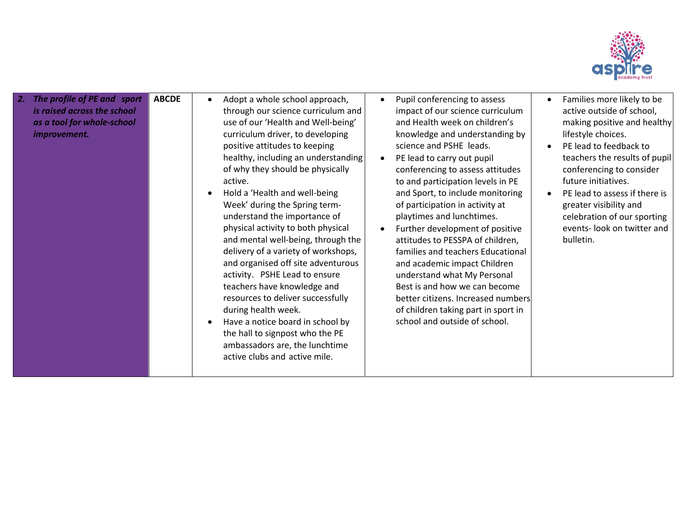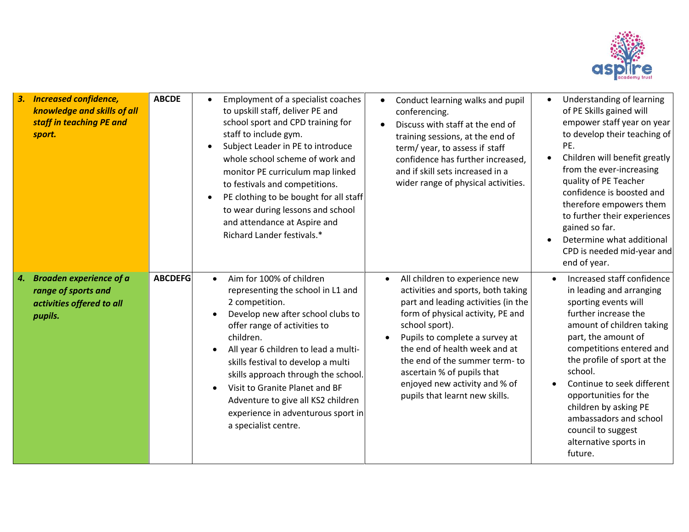

| 3.<br><b>Increased confidence,</b><br>knowledge and skills of all<br>staff in teaching PE and<br>sport. | <b>ABCDE</b>   | Employment of a specialist coaches<br>$\bullet$<br>to upskill staff, deliver PE and<br>school sport and CPD training for<br>staff to include gym.<br>Subject Leader in PE to introduce<br>$\bullet$<br>whole school scheme of work and<br>monitor PE curriculum map linked<br>to festivals and competitions.<br>PE clothing to be bought for all staff<br>$\bullet$<br>to wear during lessons and school<br>and attendance at Aspire and<br>Richard Lander festivals.* | Conduct learning walks and pupil<br>conferencing.<br>Discuss with staff at the end of<br>training sessions, at the end of<br>term/year, to assess if staff<br>confidence has further increased,<br>and if skill sets increased in a<br>wider range of physical activities.                                                                                                                        | Understanding of learning<br>$\bullet$<br>of PE Skills gained will<br>empower staff year on year<br>to develop their teaching of<br>PE.<br>Children will benefit greatly<br>from the ever-increasing<br>quality of PE Teacher<br>confidence is boosted and<br>therefore empowers them<br>to further their experiences<br>gained so far.<br>Determine what additional<br>CPD is needed mid-year and<br>end of year. |
|---------------------------------------------------------------------------------------------------------|----------------|------------------------------------------------------------------------------------------------------------------------------------------------------------------------------------------------------------------------------------------------------------------------------------------------------------------------------------------------------------------------------------------------------------------------------------------------------------------------|---------------------------------------------------------------------------------------------------------------------------------------------------------------------------------------------------------------------------------------------------------------------------------------------------------------------------------------------------------------------------------------------------|--------------------------------------------------------------------------------------------------------------------------------------------------------------------------------------------------------------------------------------------------------------------------------------------------------------------------------------------------------------------------------------------------------------------|
| <b>Broaden experience of a</b><br>4.<br>range of sports and<br>activities offered to all<br>pupils.     | <b>ABCDEFG</b> | Aim for 100% of children<br>$\bullet$<br>representing the school in L1 and<br>2 competition.<br>Develop new after school clubs to<br>offer range of activities to<br>children.<br>All year 6 children to lead a multi-<br>skills festival to develop a multi<br>skills approach through the school.<br>Visit to Granite Planet and BF<br>Adventure to give all KS2 children<br>experience in adventurous sport in<br>a specialist centre.                              | All children to experience new<br>$\bullet$<br>activities and sports, both taking<br>part and leading activities (in the<br>form of physical activity, PE and<br>school sport).<br>Pupils to complete a survey at<br>$\bullet$<br>the end of health week and at<br>the end of the summer term-to<br>ascertain % of pupils that<br>enjoyed new activity and % of<br>pupils that learnt new skills. | Increased staff confidence<br>in leading and arranging<br>sporting events will<br>further increase the<br>amount of children taking<br>part, the amount of<br>competitions entered and<br>the profile of sport at the<br>school.<br>Continue to seek different<br>opportunities for the<br>children by asking PE<br>ambassadors and school<br>council to suggest<br>alternative sports in<br>future.               |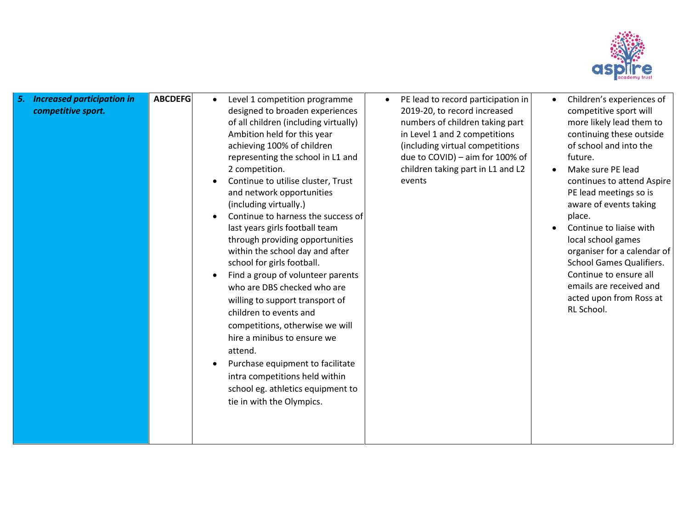

| <b>Increased participation in</b><br>competitive sport. | <b>ABCDEFG</b> | Level 1 competition programme<br>designed to broaden experiences<br>of all children (including virtually)<br>Ambition held for this year<br>achieving 100% of children<br>representing the school in L1 and<br>2 competition.<br>Continue to utilise cluster, Trust<br>and network opportunities<br>(including virtually.)<br>Continue to harness the success of<br>last years girls football team<br>through providing opportunities<br>within the school day and after<br>school for girls football.<br>Find a group of volunteer parents<br>who are DBS checked who are<br>willing to support transport of<br>children to events and<br>competitions, otherwise we will<br>hire a minibus to ensure we<br>attend.<br>Purchase equipment to facilitate<br>intra competitions held within<br>school eg. athletics equipment to<br>tie in with the Olympics. | PE lead to record participation in<br>$\bullet$<br>2019-20, to record increased<br>numbers of children taking part<br>in Level 1 and 2 competitions<br>(including virtual competitions<br>due to COVID) - aim for 100% of<br>children taking part in L1 and L2<br>events | Children's experiences of<br>competitive sport will<br>more likely lead them to<br>continuing these outside<br>of school and into the<br>future.<br>Make sure PE lead<br>continues to attend Aspire<br>PE lead meetings so is<br>aware of events taking<br>place.<br>Continue to liaise with<br>local school games<br>organiser for a calendar of<br><b>School Games Qualifiers.</b><br>Continue to ensure all<br>emails are received and<br>acted upon from Ross at<br>RL School. |
|---------------------------------------------------------|----------------|--------------------------------------------------------------------------------------------------------------------------------------------------------------------------------------------------------------------------------------------------------------------------------------------------------------------------------------------------------------------------------------------------------------------------------------------------------------------------------------------------------------------------------------------------------------------------------------------------------------------------------------------------------------------------------------------------------------------------------------------------------------------------------------------------------------------------------------------------------------|--------------------------------------------------------------------------------------------------------------------------------------------------------------------------------------------------------------------------------------------------------------------------|------------------------------------------------------------------------------------------------------------------------------------------------------------------------------------------------------------------------------------------------------------------------------------------------------------------------------------------------------------------------------------------------------------------------------------------------------------------------------------|
|---------------------------------------------------------|----------------|--------------------------------------------------------------------------------------------------------------------------------------------------------------------------------------------------------------------------------------------------------------------------------------------------------------------------------------------------------------------------------------------------------------------------------------------------------------------------------------------------------------------------------------------------------------------------------------------------------------------------------------------------------------------------------------------------------------------------------------------------------------------------------------------------------------------------------------------------------------|--------------------------------------------------------------------------------------------------------------------------------------------------------------------------------------------------------------------------------------------------------------------------|------------------------------------------------------------------------------------------------------------------------------------------------------------------------------------------------------------------------------------------------------------------------------------------------------------------------------------------------------------------------------------------------------------------------------------------------------------------------------------|